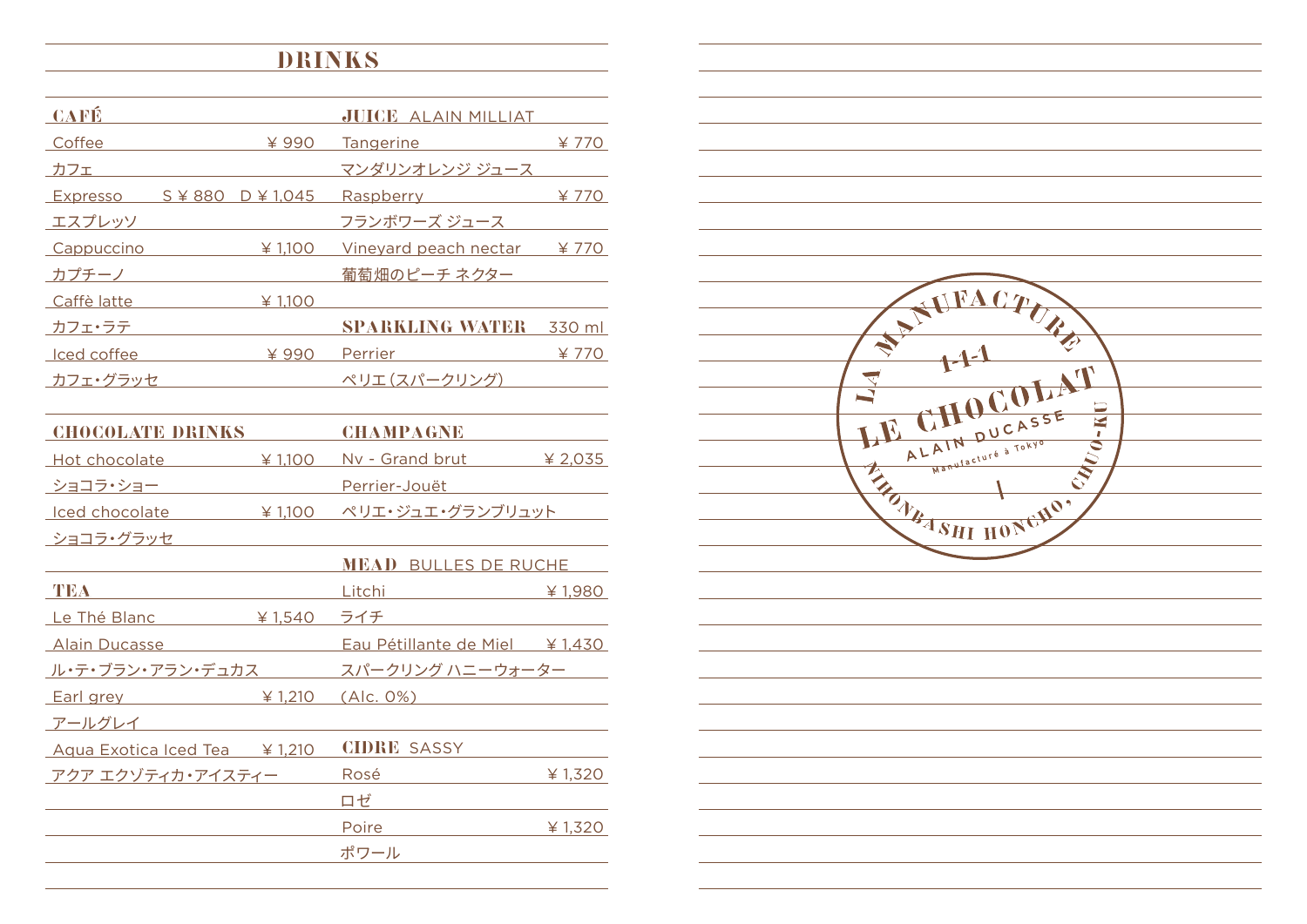## **DRINKS**

| <b>CAFÉ</b>                                |         | <b>JUICE ALAIN MILLIAT</b> |        |
|--------------------------------------------|---------|----------------------------|--------|
| Coffee                                     | ¥990    | Tangerine <b>Tangering</b> | ¥ 770  |
| カフェ                                        |         | マンダリンオレンジ ジュース             |        |
| Expresso $S \not\equiv 880$ D $\neq 1,045$ |         | Raspberry                  | ¥ 770  |
| エスプレッソ                                     |         | フランボワーズ ジュース               |        |
| Cappuccino                                 | ¥ 1.100 | Vineyard peach nectar      | ¥770   |
| カプチーノ                                      |         | 葡萄畑のピーチ ネクター               |        |
| Caffè latte                                | ¥ 1.100 |                            |        |
| カフェ・ラテ                                     |         | <b>SPARKLING WATER</b>     | 330 ml |
| Iced coffee                                | ¥990    | Perrier                    | ¥ 770  |
| カフェ・グラッセ                                   |         | ペリエ (スパークリング)              |        |

| <b>CHOCOLATE DRINKS</b>            |         | <b>CHAMPAGNE</b>                           |           |
|------------------------------------|---------|--------------------------------------------|-----------|
| <u>Hot chocolate</u>               | ¥ 1,100 | Nv - Grand brut                            | ¥ 2,035   |
| <u> ショコラ・ショー</u>                   |         | Perrier-Jouët                              |           |
| $\text{Local}$ $\downarrow$ 1,100  |         | ペリエ・ジュエ・グランブリュット                           |           |
| ショコラ・グラッセ                          |         |                                            |           |
|                                    |         | <b>MEAD BULLES DE RUCHE</b>                |           |
| TEA                                |         | Litchi <b>Marchi</b>                       | ¥ 1,980   |
| Le Thé Blanc                       | ¥ 1,540 | ライチ                                        |           |
| <b>Alain Ducasse</b>               |         | Eau Pétillante de Miel $\frac{1}{2}$ 1,430 |           |
|                                    |         | ル・テ・ブラン・アラン・デュカス スパークリング ハニーウォーター          |           |
| Earl grey $\frac{1}{2}$ 1,210      |         | (Alc. 0%)                                  |           |
| アールグレイ                             |         |                                            |           |
| Aqua Exotica Iced Tea \, \, \, 210 |         | <b>CIDRE SASSY</b>                         |           |
| アクア エクゾティカ・アイスティー                  |         | Rosé                                       | ¥ $1,320$ |
|                                    |         | ロゼ                                         |           |
|                                    |         | Poire                                      | ¥ $1,320$ |
|                                    |         | ポワール                                       |           |
|                                    |         |                                            |           |